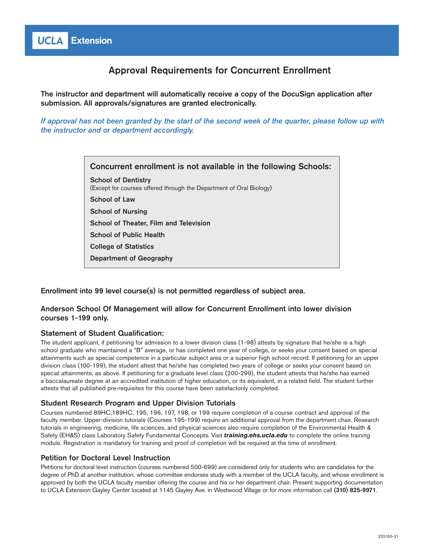# Approval Requirements for Concurrent Enrollment

The instructor and department will automatically receive a copy of the DocuSign application after submission. All approvals/signatures are granted electronically.

*If approval has not been granted by the start of the second week of the quarter, please follow up with the instructor and or department accordingly.* 

> Concurrent enrollment is not available in the following Schools: School of Dentistry (Except for courses offered through the Department of Oral Biology) School of Law School of Nursing School of Theater, Film and Television School of Public Health College of Statistics Department of Geography

# Enrollment into 99 level course(s) is not permitted regardless of subject area.

# Anderson School Of Management will allow for Concurrent Enrollment into lower division courses 1-199 only.

# Statement of Student Qualification:

The student applicant, if petitioning for admission to a lower division class (1-98) attests by signature that he/she is a high school graduate who maintained a "B" average, or has completed one year of college, or seeks your consent based on special attainments such as special competence in a particular subject area or a superior high school record. If petitioning for an upper division class (100-199), the student attest that he/she has completed two years of college or seeks your consent based on special attainments, as above. If petitioning for a graduate level class (200-299), the student attests that he/she has earned a baccalaureate degree at an accredited institution of higher education, or its equivalent, in a related field. The student further attests that all published pre-requisites for this course have been satisfactorily completed.

# Student Research Program and Upper Division Tutorials

Courses numbered 89HC,189HC, 195, 196, 197, 198, or 199 require completion of a course contract and approval of the faculty member. Upper-division tutorials (Courses 195-199) require an additional approval from the department chair. Research tutorials in engineering, medicine, life sciences, and physical sciences also require completion of the Environmental Health & Safety (EH&S) class Laboratory Safety Fundamental Concepts. Visit *[training.ehs.ucla.edu](http://training.ehs.ucla.edu/)* to complete the online training module. Registration is mandatory for training and proof of completion will be required at the time of enrollment.

# Petition for Doctoral Level Instruction

Petitions for doctoral level instruction (courses numbered 500-699) are considered only for students who are candidates for the degree of PhD at another institution, whose committee endorses study with a member of the UCLA faculty, and whose enrollment is approved by both the UCLA faculty member offering the course and his or her department chair. Present supporting documentation to UCLA Extension Gayley Center located at 1145 Gayley Ave. in Westwood Village or for more information call [\(310\) 825-9971](tel:3108259971).